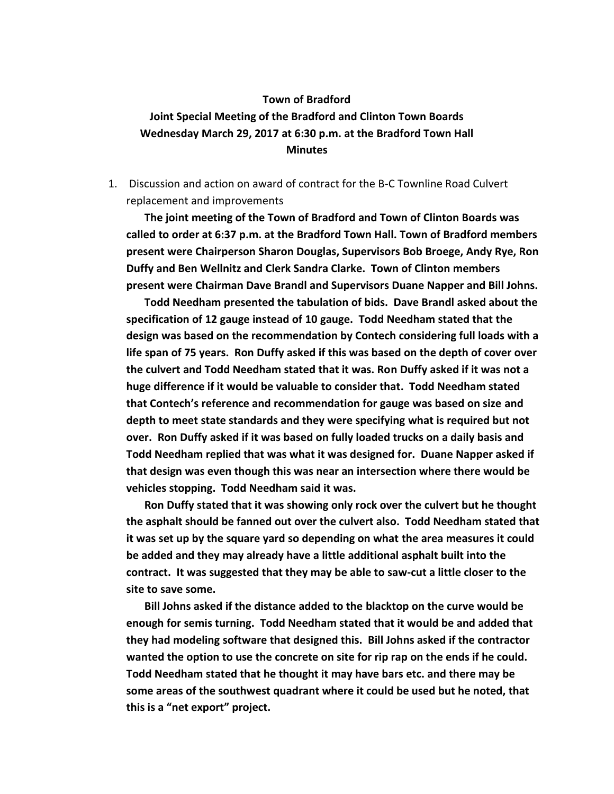## **Town of Bradford**

## **Joint Special Meeting of the Bradford and Clinton Town Boards Wednesday March 29, 2017 at 6:30 p.m. at the Bradford Town Hall Minutes**

1. Discussion and action on award of contract for the B-C Townline Road Culvert replacement and improvements

**The joint meeting of the Town of Bradford and Town of Clinton Boards was called to order at 6:37 p.m. at the Bradford Town Hall. Town of Bradford members present were Chairperson Sharon Douglas, Supervisors Bob Broege, Andy Rye, Ron Duffy and Ben Wellnitz and Clerk Sandra Clarke. Town of Clinton members present were Chairman Dave Brandl and Supervisors Duane Napper and Bill Johns.**

**Todd Needham presented the tabulation of bids. Dave Brandl asked about the specification of 12 gauge instead of 10 gauge. Todd Needham stated that the design was based on the recommendation by Contech considering full loads with a life span of 75 years. Ron Duffy asked if this was based on the depth of cover over the culvert and Todd Needham stated that it was. Ron Duffy asked if it was not a huge difference if it would be valuable to consider that. Todd Needham stated that Contech's reference and recommendation for gauge was based on size and depth to meet state standards and they were specifying what is required but not over. Ron Duffy asked if it was based on fully loaded trucks on a daily basis and Todd Needham replied that was what it was designed for. Duane Napper asked if that design was even though this was near an intersection where there would be vehicles stopping. Todd Needham said it was.** 

**Ron Duffy stated that it was showing only rock over the culvert but he thought the asphalt should be fanned out over the culvert also. Todd Needham stated that it was set up by the square yard so depending on what the area measures it could be added and they may already have a little additional asphalt built into the contract. It was suggested that they may be able to saw-cut a little closer to the site to save some.** 

**Bill Johns asked if the distance added to the blacktop on the curve would be enough for semis turning. Todd Needham stated that it would be and added that they had modeling software that designed this. Bill Johns asked if the contractor wanted the option to use the concrete on site for rip rap on the ends if he could. Todd Needham stated that he thought it may have bars etc. and there may be some areas of the southwest quadrant where it could be used but he noted, that this is a "net export" project.**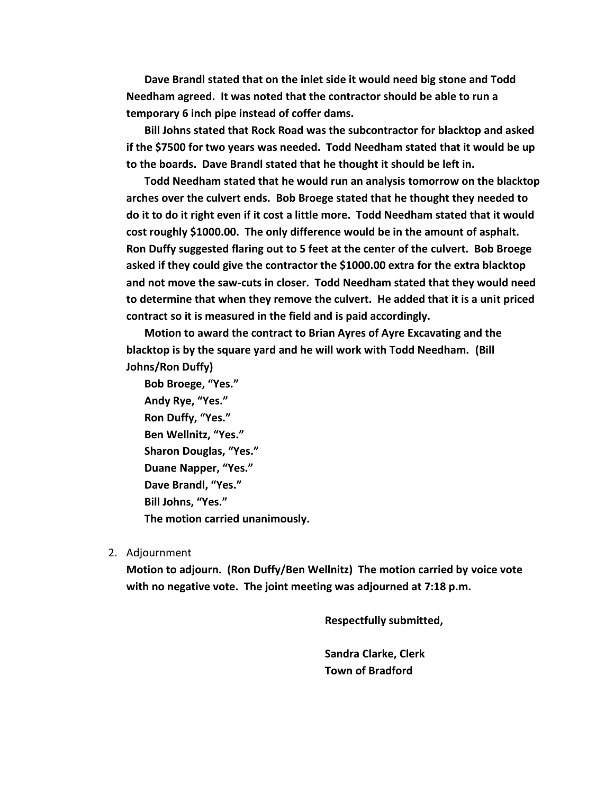**Dave Brandl stated that on the inlet side it would need big stone and Todd Needham agreed. It was noted that the contractor should be able to run a temporary 6 inch pipe instead of coffer dams.** 

**Bill Johns stated that Rock Road was the subcontractor for blacktop and asked if the \$7500 for two years was needed. Todd Needham stated that it would be up to the boards. Dave Brandl stated that he thought it should be left in.** 

**Todd Needham stated that he would run an analysis tomorrow on the blacktop arches over the culvert ends. Bob Broege stated that he thought they needed to do it to do it right even if it cost a little more. Todd Needham stated that it would cost roughly \$1000.00. The only difference would be in the amount of asphalt. Ron Duffy suggested flaring out to 5 feet at the center of the culvert. Bob Broege asked if they could give the contractor the \$1000.00 extra for the extra blacktop and not move the saw-cuts in closer. Todd Needham stated that they would need to determine that when they remove the culvert. He added that it is a unit priced contract so it is measured in the field and is paid accordingly.**

**Motion to award the contract to Brian Ayres of Ayre Excavating and the blacktop is by the square yard and he will work with Todd Needham. (Bill Johns/Ron Duffy)**

- **Bob Broege, "Yes." Andy Rye, "Yes." Ron Duffy, "Yes." Ben Wellnitz, "Yes." Sharon Douglas, "Yes." Duane Napper, "Yes." Dave Brandl, "Yes." Bill Johns, "Yes." The motion carried unanimously.**
- 2. Adjournment

**Motion to adjourn. (Ron Duffy/Ben Wellnitz) The motion carried by voice vote with no negative vote. The joint meeting was adjourned at 7:18 p.m.**

**Respectfully submitted,**

**Sandra Clarke, Clerk Town of Bradford**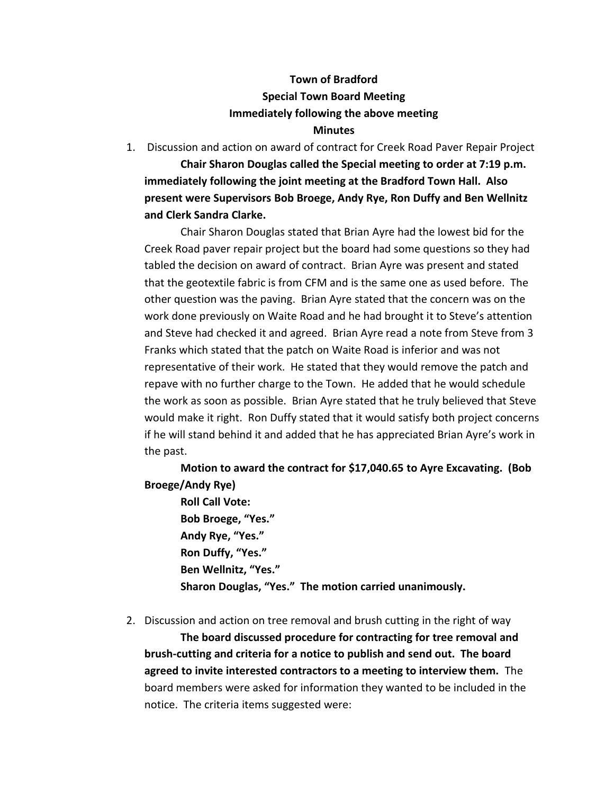## **Town of Bradford Special Town Board Meeting Immediately following the above meeting**

## **Minutes**

1. Discussion and action on award of contract for Creek Road Paver Repair Project

**Chair Sharon Douglas called the Special meeting to order at 7:19 p.m. immediately following the joint meeting at the Bradford Town Hall. Also present were Supervisors Bob Broege, Andy Rye, Ron Duffy and Ben Wellnitz and Clerk Sandra Clarke.**

Chair Sharon Douglas stated that Brian Ayre had the lowest bid for the Creek Road paver repair project but the board had some questions so they had tabled the decision on award of contract. Brian Ayre was present and stated that the geotextile fabric is from CFM and is the same one as used before. The other question was the paving. Brian Ayre stated that the concern was on the work done previously on Waite Road and he had brought it to Steve's attention and Steve had checked it and agreed. Brian Ayre read a note from Steve from 3 Franks which stated that the patch on Waite Road is inferior and was not representative of their work. He stated that they would remove the patch and repave with no further charge to the Town. He added that he would schedule the work as soon as possible. Brian Ayre stated that he truly believed that Steve would make it right. Ron Duffy stated that it would satisfy both project concerns if he will stand behind it and added that he has appreciated Brian Ayre's work in the past.

**Motion to award the contract for \$17,040.65 to Ayre Excavating. (Bob Broege/Andy Rye)**

**Roll Call Vote: Bob Broege, "Yes." Andy Rye, "Yes." Ron Duffy, "Yes." Ben Wellnitz, "Yes." Sharon Douglas, "Yes." The motion carried unanimously.**

2. Discussion and action on tree removal and brush cutting in the right of way

**The board discussed procedure for contracting for tree removal and brush-cutting and criteria for a notice to publish and send out. The board agreed to invite interested contractors to a meeting to interview them.** The board members were asked for information they wanted to be included in the notice. The criteria items suggested were: